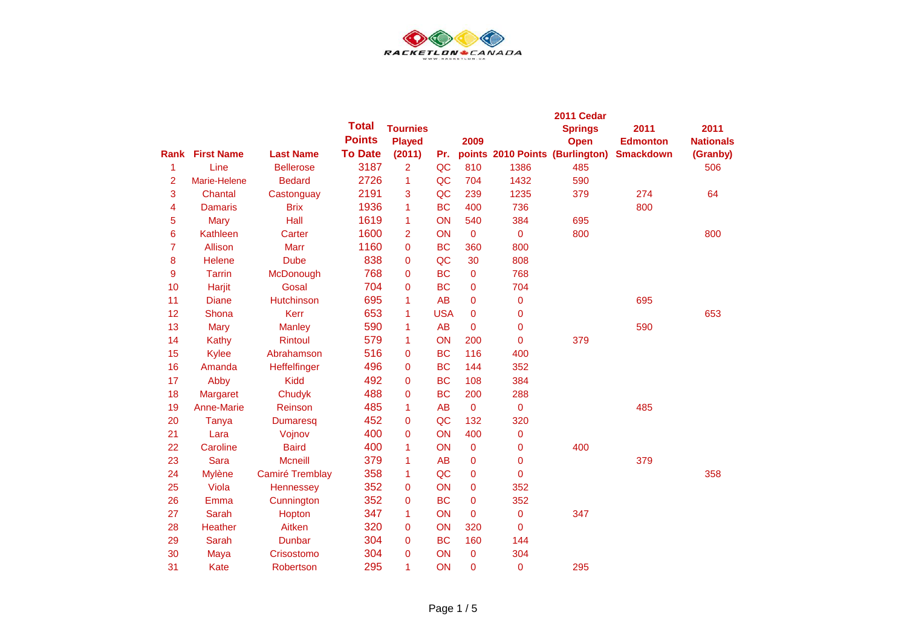

|                |                   |                   |                |                 |            |                |                | 2011 Cedar                      |                  |                  |  |
|----------------|-------------------|-------------------|----------------|-----------------|------------|----------------|----------------|---------------------------------|------------------|------------------|--|
|                |                   |                   | <b>Total</b>   | <b>Tournies</b> |            |                |                | <b>Springs</b>                  | 2011             | 2011             |  |
|                |                   |                   | <b>Points</b>  | <b>Played</b>   |            | 2009           |                | Open                            | <b>Edmonton</b>  | <b>Nationals</b> |  |
| Rank           | <b>First Name</b> | <b>Last Name</b>  | <b>To Date</b> | (2011)          | Pr.        |                |                | points 2010 Points (Burlington) | <b>Smackdown</b> | (Granby)         |  |
| 1              | Line              | <b>Bellerose</b>  | 3187           | $\overline{2}$  | QC         | 810            | 1386           | 485                             |                  | 506              |  |
| 2              | Marie-Helene      | <b>Bedard</b>     | 2726           | 1               | QC         | 704            | 1432           | 590                             |                  |                  |  |
| 3              | Chantal           | Castonguay        | 2191           | 3               | QC         | 239            | 1235           | 379                             | 274              | 64               |  |
| 4              | <b>Damaris</b>    | <b>Brix</b>       | 1936           | 1               | <b>BC</b>  | 400            | 736            |                                 | 800              |                  |  |
| 5              | Mary              | Hall              | 1619           | 1               | ON         | 540            | 384            | 695                             |                  |                  |  |
| 6              | Kathleen          | Carter            | 1600           | $\overline{2}$  | ON         | $\overline{0}$ | 0              | 800                             |                  | 800              |  |
| $\overline{7}$ | Allison           | <b>Marr</b>       | 1160           | $\overline{0}$  | <b>BC</b>  | 360            | 800            |                                 |                  |                  |  |
| 8              | Helene            | <b>Dube</b>       | 838            | 0               | QC         | 30             | 808            |                                 |                  |                  |  |
| 9              | <b>Tarrin</b>     | McDonough         | 768            | $\overline{0}$  | <b>BC</b>  | $\overline{0}$ | 768            |                                 |                  |                  |  |
| 10             | Harjit            | Gosal             | 704            | 0               | <b>BC</b>  | 0              | 704            |                                 |                  |                  |  |
| 11             | <b>Diane</b>      | <b>Hutchinson</b> | 695            | 1               | AB         | 0              | 0              |                                 | 695              |                  |  |
| 12             | Shona             | Kerr              | 653            | 1               | <b>USA</b> | $\overline{0}$ | 0              |                                 |                  | 653              |  |
| 13             | <b>Mary</b>       | <b>Manley</b>     | 590            | 1               | <b>AB</b>  | $\overline{0}$ | 0              |                                 | 590              |                  |  |
| 14             | Kathy             | <b>Rintoul</b>    | 579            | 1               | ON         | 200            | 0              | 379                             |                  |                  |  |
| 15             | Kylee             | Abrahamson        | 516            | 0               | <b>BC</b>  | 116            | 400            |                                 |                  |                  |  |
| 16             | Amanda            | Heffelfinger      | 496            | 0               | <b>BC</b>  | 144            | 352            |                                 |                  |                  |  |
| 17             | Abby              | <b>Kidd</b>       | 492            | $\mathbf 0$     | <b>BC</b>  | 108            | 384            |                                 |                  |                  |  |
| 18             | <b>Margaret</b>   | Chudyk            | 488            | $\mathbf 0$     | <b>BC</b>  | 200            | 288            |                                 |                  |                  |  |
| 19             | <b>Anne-Marie</b> | Reinson           | 485            | 1               | <b>AB</b>  | $\overline{0}$ | 0              |                                 | 485              |                  |  |
| 20             | Tanya             | <b>Dumaresq</b>   | 452            | $\mathbf 0$     | QC         | 132            | 320            |                                 |                  |                  |  |
| 21             | Lara              | Vojnov            | 400            | $\overline{0}$  | ON         | 400            | 0              |                                 |                  |                  |  |
| 22             | Caroline          | <b>Baird</b>      | 400            | 1               | ON         | $\overline{0}$ | 0              | 400                             |                  |                  |  |
| 23             | <b>Sara</b>       | <b>Mcneill</b>    | 379            | 1               | <b>AB</b>  | 0              | 0              |                                 | 379              |                  |  |
| 24             | <b>Mylène</b>     | Camiré Tremblay   | 358            | 1               | QC         | $\overline{0}$ | $\overline{0}$ |                                 |                  | 358              |  |
| 25             | Viola             | Hennessey         | 352            | $\overline{0}$  | ON         | $\overline{0}$ | 352            |                                 |                  |                  |  |
| 26             | Emma              | Cunnington        | 352            | 0               | <b>BC</b>  | 0              | 352            |                                 |                  |                  |  |
| 27             | <b>Sarah</b>      | Hopton            | 347            | 1               | ON         | $\mathbf 0$    | 0              | 347                             |                  |                  |  |
| 28             | Heather           | Aitken            | 320            | 0               | ON         | 320            | 0              |                                 |                  |                  |  |
| 29             | <b>Sarah</b>      | <b>Dunbar</b>     | 304            | 0               | <b>BC</b>  | 160            | 144            |                                 |                  |                  |  |
| 30             | Maya              | Crisostomo        | 304            | $\overline{0}$  | ON         | $\overline{0}$ | 304            |                                 |                  |                  |  |
| 31             | Kate              | Robertson         | 295            | 1               | ON         | $\mathbf 0$    | 0              | 295                             |                  |                  |  |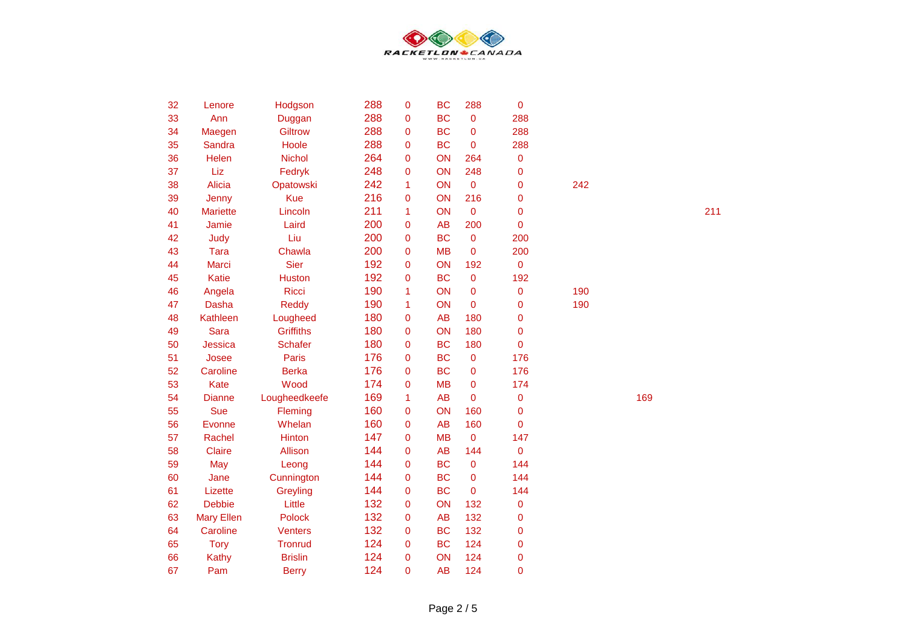

| 32 | Lenore            | Hodgson          | 288 | 0           | <b>BC</b> | 288         | $\mathbf 0$    |     |     |     |
|----|-------------------|------------------|-----|-------------|-----------|-------------|----------------|-----|-----|-----|
| 33 | Ann               | Duggan           | 288 | 0           | <b>BC</b> | $\pmb{0}$   | 288            |     |     |     |
| 34 | Maegen            | <b>Giltrow</b>   | 288 | 0           | <b>BC</b> | $\mathbf 0$ | 288            |     |     |     |
| 35 | Sandra            | Hoole            | 288 | 0           | <b>BC</b> | $\pmb{0}$   | 288            |     |     |     |
| 36 | Helen             | <b>Nichol</b>    | 264 | 0           | ON        | 264         | 0              |     |     |     |
| 37 | Liz               | Fedryk           | 248 | 0           | ON        | 248         | $\mathbf 0$    |     |     |     |
| 38 | Alicia            | Opatowski        | 242 | 1           | ON        | $\mathbf 0$ | $\mathbf 0$    | 242 |     |     |
| 39 | Jenny             | <b>Kue</b>       | 216 | 0           | ON        | 216         | $\overline{0}$ |     |     |     |
| 40 | <b>Mariette</b>   | Lincoln          | 211 | 1           | ON        | $\mathbf 0$ | $\mathbf 0$    |     |     | 211 |
| 41 | Jamie             | Laird            | 200 | 0           | <b>AB</b> | 200         | $\mathbf 0$    |     |     |     |
| 42 | Judy              | Liu              | 200 | $\mathbf 0$ | <b>BC</b> | $\pmb{0}$   | 200            |     |     |     |
| 43 | <b>Tara</b>       | Chawla           | 200 | 0           | <b>MB</b> | $\pmb{0}$   | 200            |     |     |     |
| 44 | Marci             | <b>Sier</b>      | 192 | 0           | ON        | 192         | $\mathbf 0$    |     |     |     |
| 45 | Katie             | <b>Huston</b>    | 192 | 0           | <b>BC</b> | $\pmb{0}$   | 192            |     |     |     |
| 46 | Angela            | Ricci            | 190 | 1           | ON        | $\pmb{0}$   | 0              | 190 |     |     |
| 47 | Dasha             | Reddy            | 190 | 1           | ON        | 0           | 0              | 190 |     |     |
| 48 | Kathleen          | Lougheed         | 180 | 0           | <b>AB</b> | 180         | $\mathbf 0$    |     |     |     |
| 49 | <b>Sara</b>       | <b>Griffiths</b> | 180 | 0           | ON        | 180         | $\overline{0}$ |     |     |     |
| 50 | Jessica           | <b>Schafer</b>   | 180 | 0           | <b>BC</b> | 180         | $\overline{0}$ |     |     |     |
| 51 | Josee             | Paris            | 176 | 0           | <b>BC</b> | $\pmb{0}$   | 176            |     |     |     |
| 52 | Caroline          | <b>Berka</b>     | 176 | 0           | <b>BC</b> | 0           | 176            |     |     |     |
| 53 | <b>Kate</b>       | Wood             | 174 | 0           | <b>MB</b> | $\pmb{0}$   | 174            |     |     |     |
| 54 | <b>Dianne</b>     | Lougheedkeefe    | 169 | 1           | <b>AB</b> | $\mathbf 0$ | $\mathbf 0$    |     | 169 |     |
| 55 | Sue               | Fleming          | 160 | $\mathbf 0$ | ON        | 160         | $\mathbf 0$    |     |     |     |
| 56 | Evonne            | Whelan           | 160 | 0           | <b>AB</b> | 160         | $\overline{0}$ |     |     |     |
| 57 | Rachel            | Hinton           | 147 | 0           | <b>MB</b> | $\mathbf 0$ | 147            |     |     |     |
| 58 | <b>Claire</b>     | Allison          | 144 | 0           | <b>AB</b> | 144         | $\overline{0}$ |     |     |     |
| 59 | May               | Leong            | 144 | 0           | <b>BC</b> | $\pmb{0}$   | 144            |     |     |     |
| 60 | Jane              | Cunnington       | 144 | 0           | <b>BC</b> | $\pmb{0}$   | 144            |     |     |     |
| 61 | Lizette           | Greyling         | 144 | 0           | <b>BC</b> | $\pmb{0}$   | 144            |     |     |     |
| 62 | <b>Debbie</b>     | Little           | 132 | 0           | ON        | 132         | 0              |     |     |     |
| 63 | <b>Mary Ellen</b> | Polock           | 132 | 0           | <b>AB</b> | 132         | $\mathbf 0$    |     |     |     |
| 64 | Caroline          | <b>Venters</b>   | 132 | 0           | <b>BC</b> | 132         | $\mathbf 0$    |     |     |     |
| 65 | <b>Tory</b>       | <b>Tronrud</b>   | 124 | 0           | <b>BC</b> | 124         | $\mathbf 0$    |     |     |     |
| 66 | Kathy             | <b>Brislin</b>   | 124 | 0           | ON        | 124         | $\mathbf 0$    |     |     |     |
| 67 | Pam               | <b>Berry</b>     | 124 | 0           | <b>AB</b> | 124         | $\overline{0}$ |     |     |     |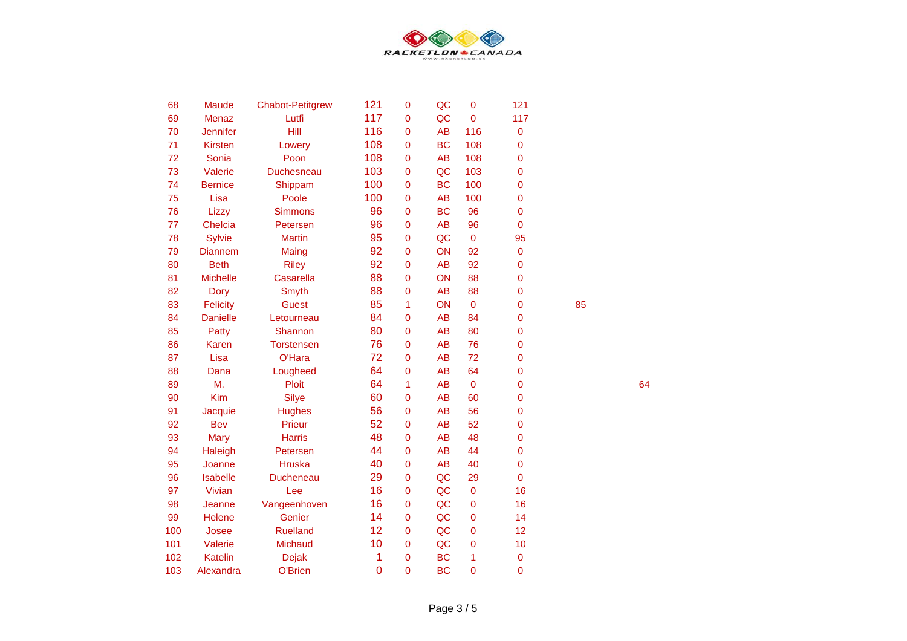

| 68  | <b>Maude</b>    | <b>Chabot-Petitgrew</b> | 121            | $\overline{0}$ | QC        | $\overline{0}$ | 121            |
|-----|-----------------|-------------------------|----------------|----------------|-----------|----------------|----------------|
| 69  | <b>Menaz</b>    | Lutfi                   | 117            | $\overline{0}$ | QC        | $\overline{0}$ | 117            |
| 70  | <b>Jennifer</b> | Hill                    | 116            | 0              | <b>AB</b> | 116            | 0              |
| 71  | <b>Kirsten</b>  | Lowery                  | 108            | 0              | <b>BC</b> | 108            | 0              |
| 72  | Sonia           | Poon                    | 108            | $\overline{0}$ | <b>AB</b> | 108            | 0              |
| 73  | Valerie         | <b>Duchesneau</b>       | 103            | $\overline{0}$ | QC        | 103            | 0              |
| 74  | <b>Bernice</b>  | Shippam                 | 100            | $\overline{0}$ | <b>BC</b> | 100            | $\overline{0}$ |
| 75  | Lisa            | Poole                   | 100            | $\overline{0}$ | <b>AB</b> | 100            | 0              |
| 76  | Lizzy           | <b>Simmons</b>          | 96             | 0              | <b>BC</b> | 96             | 0              |
| 77  | Chelcia         | Petersen                | 96             | $\overline{0}$ | <b>AB</b> | 96             | $\overline{0}$ |
| 78  | <b>Sylvie</b>   | <b>Martin</b>           | 95             | $\overline{0}$ | QC        | $\mathbf 0$    | 95             |
| 79  | <b>Diannem</b>  | Maing                   | 92             | $\overline{0}$ | ON        | 92             | $\mathbf 0$    |
| 80  | <b>Beth</b>     | <b>Riley</b>            | 92             | $\mathbf 0$    | <b>AB</b> | 92             | 0              |
| 81  | <b>Michelle</b> | Casarella               | 88             | 0              | ON        | 88             | 0              |
| 82  | Dory            | Smyth                   | 88             | $\overline{0}$ | <b>AB</b> | 88             | $\mathbf 0$    |
| 83  | <b>Felicity</b> | <b>Guest</b>            | 85             | 1              | ON        | $\mathbf 0$    | $\overline{0}$ |
| 84  | <b>Danielle</b> | Letourneau              | 84             | $\overline{0}$ | <b>AB</b> | 84             | 0              |
| 85  | Patty           | Shannon                 | 80             | $\overline{0}$ | <b>AB</b> | 80             | $\mathbf 0$    |
| 86  | <b>Karen</b>    | <b>Torstensen</b>       | 76             | $\overline{0}$ | <b>AB</b> | 76             | $\overline{0}$ |
| 87  | Lisa            | O'Hara                  | 72             | $\overline{0}$ | <b>AB</b> | 72             | $\overline{0}$ |
| 88  | Dana            | Lougheed                | 64             | $\overline{0}$ | <b>AB</b> | 64             | 0              |
| 89  | M.              | Ploit                   | 64             | 1              | <b>AB</b> | $\pmb{0}$      | 0              |
| 90  | <b>Kim</b>      | <b>Silye</b>            | 60             | 0              | <b>AB</b> | 60             | $\overline{0}$ |
| 91  | Jacquie         | <b>Hughes</b>           | 56             | $\overline{0}$ | <b>AB</b> | 56             | 0              |
| 92  | <b>Bev</b>      | Prieur                  | 52             | $\overline{0}$ | <b>AB</b> | 52             | 0              |
| 93  | <b>Mary</b>     | <b>Harris</b>           | 48             | 0              | <b>AB</b> | 48             | 0              |
| 94  | Haleigh         | Petersen                | 44             | 0              | <b>AB</b> | 44             | 0              |
| 95  | Joanne          | <b>Hruska</b>           | 40             | $\overline{0}$ | <b>AB</b> | 40             | $\overline{0}$ |
| 96  | <b>Isabelle</b> | <b>Ducheneau</b>        | 29             | 0              | QC        | 29             | $\overline{0}$ |
| 97  | Vivian          | Lee                     | 16             | $\overline{0}$ | QC        | $\mathbf 0$    | 16             |
| 98  | Jeanne          | Vangeenhoven            | 16             | 0              | QC        | $\mathbf 0$    | 16             |
| 99  | <b>Helene</b>   | Genier                  | 14             | 0              | QC        | 0              | 14             |
| 100 | Josee           | <b>Ruelland</b>         | 12             | $\overline{0}$ | QC        | $\mathbf 0$    | 12             |
| 101 | Valerie         | Michaud                 | 10             | $\overline{0}$ | QC        | $\mathbf 0$    | 10             |
| 102 | <b>Katelin</b>  | <b>Dejak</b>            | 1              | $\overline{0}$ | <b>BC</b> | 1              | 0              |
| 103 | Alexandra       | O'Brien                 | $\overline{0}$ | $\overline{0}$ | <b>BC</b> | $\overline{0}$ | 0              |

64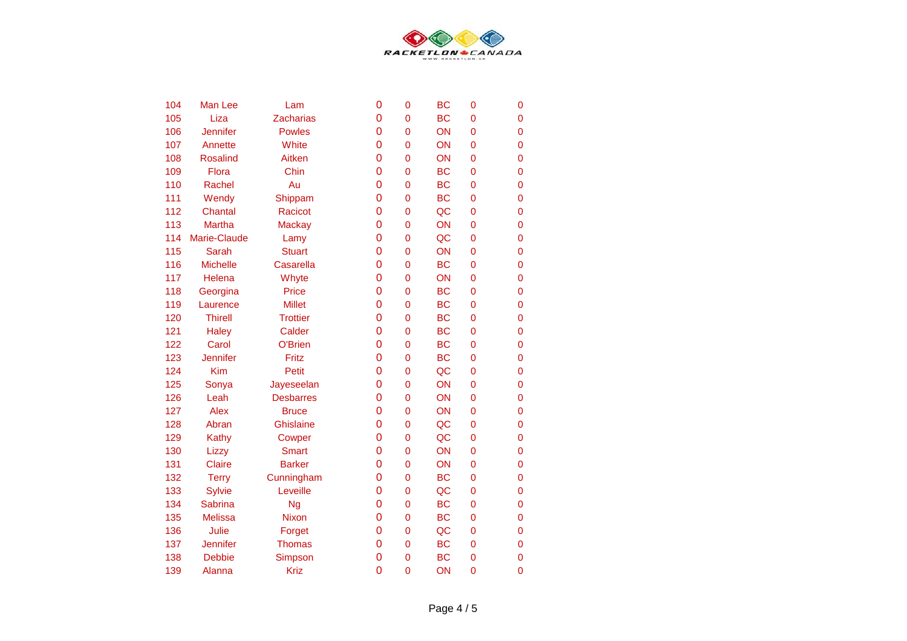

| 104 | Man Lee         | Lam              | 0              | $\overline{0}$ | <b>BC</b> | $\mathbf 0$    | 0              |
|-----|-----------------|------------------|----------------|----------------|-----------|----------------|----------------|
| 105 | Liza            | <b>Zacharias</b> | 0              | $\overline{0}$ | <b>BC</b> | $\mathbf 0$    | 0              |
| 106 | Jennifer        | <b>Powles</b>    | 0              | $\overline{0}$ | ON        | $\mathbf 0$    | $\overline{0}$ |
| 107 | Annette         | White            | 0              | 0              | ON        | 0              | $\overline{0}$ |
| 108 | <b>Rosalind</b> | Aitken           | 0              | $\overline{0}$ | ON        | 0              | 0              |
| 109 | Flora           | Chin             | 0              | $\mathbf 0$    | <b>BC</b> | $\mathbf 0$    | $\overline{0}$ |
| 110 | Rachel          | Au               | 0              | $\overline{0}$ | <b>BC</b> | $\overline{0}$ | $\overline{0}$ |
| 111 | Wendy           | Shippam          | 0              | $\overline{0}$ | <b>BC</b> | $\overline{0}$ | $\overline{0}$ |
| 112 | Chantal         | Racicot          | 0              | 0              | QC        | $\mathbf 0$    | $\mathbf 0$    |
| 113 | <b>Martha</b>   | <b>Mackay</b>    | 0              | $\overline{0}$ | ON        | $\overline{0}$ | $\overline{0}$ |
| 114 | Marie-Claude    | Lamy             | 0              | $\mathbf 0$    | QC        | $\overline{0}$ | $\overline{0}$ |
| 115 | <b>Sarah</b>    | <b>Stuart</b>    | $\mathbf 0$    | $\mathbf 0$    | ON        | $\mathbf 0$    | $\mathbf 0$    |
| 116 | <b>Michelle</b> | Casarella        | 0              | $\mathbf 0$    | <b>BC</b> | $\mathbf 0$    | $\mathbf 0$    |
| 117 | Helena          | Whyte            | 0              | 0              | ON        | 0              | 0              |
| 118 | Georgina        | Price            | 0              | $\overline{0}$ | <b>BC</b> | $\mathbf 0$    | $\overline{0}$ |
| 119 | Laurence        | <b>Millet</b>    | 0              | $\mathbf 0$    | <b>BC</b> | $\mathbf 0$    | $\overline{0}$ |
| 120 | <b>Thirell</b>  | <b>Trottier</b>  | 0              | 0              | <b>BC</b> | $\overline{0}$ | $\overline{0}$ |
| 121 | <b>Haley</b>    | Calder           | 0              | $\mathbf 0$    | <b>BC</b> | $\mathbf 0$    | $\overline{0}$ |
| 122 | Carol           | O'Brien          | $\overline{0}$ | $\mathbf 0$    | <b>BC</b> | $\mathbf 0$    | $\overline{0}$ |
| 123 | <b>Jennifer</b> | Fritz            | $\overline{0}$ | $\overline{0}$ | <b>BC</b> | $\overline{0}$ | $\overline{0}$ |
| 124 | Kim             | Petit            | 0              | $\overline{0}$ | QC        | $\overline{0}$ | $\overline{0}$ |
| 125 | Sonya           | Jayeseelan       | 0              | $\overline{0}$ | ON        | $\overline{0}$ | $\overline{0}$ |
| 126 | Leah            | <b>Desbarres</b> | 0              | $\overline{0}$ | ON        | 0              | $\overline{0}$ |
| 127 | <b>Alex</b>     | <b>Bruce</b>     | 0              | $\overline{0}$ | ON        | $\overline{0}$ | $\overline{0}$ |
| 128 | Abran           | <b>Ghislaine</b> | $\mathbf 0$    | $\mathbf 0$    | QC        | $\overline{0}$ | $\mathbf 0$    |
| 129 | Kathy           | Cowper           | 0              | $\mathbf 0$    | QC        | 0              | $\mathbf 0$    |
| 130 | Lizzy           | <b>Smart</b>     | 0              | 0              | ON        | $\mathbf 0$    | $\mathbf 0$    |
| 131 | <b>Claire</b>   | <b>Barker</b>    | 0              | $\overline{0}$ | ON        | $\overline{0}$ | $\overline{0}$ |
| 132 | <b>Terry</b>    | Cunningham       | 0              | $\overline{0}$ | <b>BC</b> | $\mathbf 0$    | $\overline{0}$ |
| 133 | <b>Sylvie</b>   | Leveille         | 0              | 0              | QC        | $\overline{0}$ | $\overline{0}$ |
| 134 | <b>Sabrina</b>  | <b>Ng</b>        | 0              | $\mathbf 0$    | <b>BC</b> | $\mathbf 0$    | $\overline{0}$ |
| 135 | <b>Melissa</b>  | <b>Nixon</b>     | 0              | $\overline{0}$ | <b>BC</b> | $\mathbf 0$    | 0              |
| 136 | Julie           | Forget           | 0              | $\overline{0}$ | QC        | $\mathbf 0$    | $\overline{0}$ |
| 137 | <b>Jennifer</b> | <b>Thomas</b>    | 0              | 0              | <b>BC</b> | $\mathbf 0$    | $\overline{0}$ |
| 138 | <b>Debbie</b>   | Simpson          | 0              | 0              | <b>BC</b> | $\mathbf 0$    | $\overline{0}$ |
| 139 | Alanna          | <b>Kriz</b>      | $\overline{0}$ | $\mathbf 0$    | ON        | $\overline{0}$ | $\overline{0}$ |